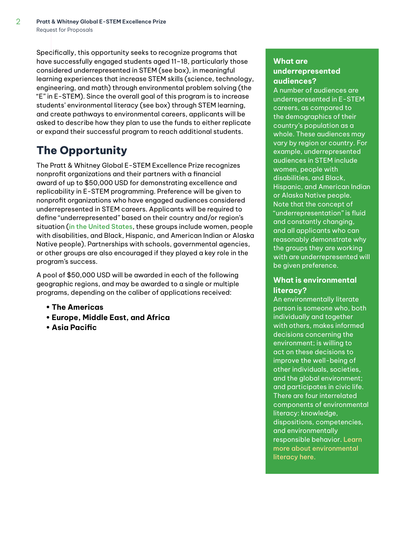Specifically, this opportunity seeks to recognize programs that have successfully engaged students aged 11-18, particularly those considered underrepresented in STEM (see box), in meaningful learning experiences that increase STEM skills (science, technology, engineering, and math) through environmental problem solving (the "E" in E-STEM). Since the overall goal of this program is to increase students' environmental literacy (see box) through STEM learning, and create pathways to environmental careers, applicants will be asked to describe how they plan to use the funds to either replicate or expand their successful program to reach additional students.

# **The Opportunity**

The Pratt & Whitney Global E-STEM Excellence Prize recognizes nonprofit organizations and their partners with a financial award of up to \$50,000 USD for demonstrating excellence and replicability in E-STEM programming. Preference will be given to nonprofit organizations who have engaged audiences considered underrepresented in STEM careers. Applicants will be required to define "underrepresented" based on their country and/or region's situation ([in the United States](https://en.wikipedia.org/wiki/Underrepresented_group), these groups include women, people with disabilities, and Black, Hispanic, and American Indian or Alaska Native people). Partnerships with schools, governmental agencies, or other groups are also encouraged if they played a key role in the program's success.

A pool of \$50,000 USD will be awarded in each of the following geographic regions, and may be awarded to a single or multiple programs, depending on the caliber of applications received:

- **The Americas**
- **Europe, Middle East, and Africa**
- **Asia Pacific**

### **What are underrepresented audiences?**

A number of audiences are underrepresented in E-STEM careers, as compared to the demographics of their country's population as a whole. These audiences may vary by region or country. For example, underrepresented audiences in STEM include women, people with disabilities, and Black, Hispanic, and American Indian or Alaska Native people. Note that the concept of "underrepresentation" is fluid and constantly changing, and all applicants who can reasonably demonstrate why the groups they are working with are underrepresented will be given preference.

## **What is environmental literacy?**

An environmentally literate person is someone who, both individually and together with others, makes informed decisions concerning the environment; is willing to act on these decisions to improve the well-being of other individuals, societies, and the global environment; and participates in civic life. There are four interrelated components of environmental literacy: knowledge, dispositions, competencies, and environmentally responsible behavior. [Learn](https://cdn.naaee.org/sites/default/files/devframewkassessenvlitonlineed.pdf)  [more about environmental](https://cdn.naaee.org/sites/default/files/devframewkassessenvlitonlineed.pdf)  [literacy here.](https://cdn.naaee.org/sites/default/files/devframewkassessenvlitonlineed.pdf)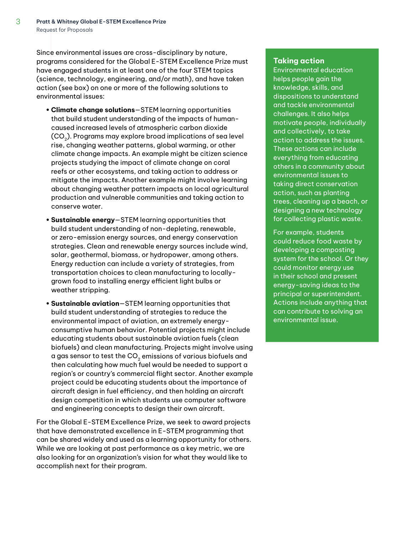Since environmental issues are cross-disciplinary by nature, programs considered for the Global E-STEM Excellence Prize must have engaged students in at least one of the four STEM topics (science, technology, engineering, and/or math), and have taken action (see box) on one or more of the following solutions to environmental issues:

- **Climate change solutions**—STEM learning opportunities that build student understanding of the impacts of humancaused increased levels of atmospheric carbon dioxide  $(CO<sub>2</sub>)$ . Programs may explore broad implications of sea level rise, changing weather patterns, global warming, or other climate change impacts. An example might be citizen science projects studying the impact of climate change on coral reefs or other ecosystems, and taking action to address or mitigate the impacts. Another example might involve learning about changing weather pattern impacts on local agricultural production and vulnerable communities and taking action to conserve water.
- **Sustainable energy**—STEM learning opportunities that build student understanding of non-depleting, renewable, or zero-emission energy sources, and energy conservation strategies. Clean and renewable energy sources include wind, solar, geothermal, biomass, or hydropower, among others. Energy reduction can include a variety of strategies, from transportation choices to clean manufacturing to locallygrown food to installing energy efficient light bulbs or weather stripping.
- **Sustainable aviation**—STEM learning opportunities that build student understanding of strategies to reduce the environmental impact of aviation, an extremely energyconsumptive human behavior. Potential projects might include educating students about sustainable aviation fuels (clean biofuels) and clean manufacturing. Projects might involve using a gas sensor to test the  $CO<sub>2</sub>$  emissions of various biofuels and then calculating how much fuel would be needed to support a region's or country's commercial flight sector. Another example project could be educating students about the importance of aircraft design in fuel efficiency, and then holding an aircraft design competition in which students use computer software and engineering concepts to design their own aircraft.

For the Global E-STEM Excellence Prize, we seek to award projects that have demonstrated excellence in E-STEM programming that can be shared widely and used as a learning opportunity for others. While we are looking at past performance as a key metric, we are also looking for an organization's vision for what they would like to accomplish next for their program.

#### **Taking action**

Environmental education helps people gain the knowledge, skills, and dispositions to understand and tackle environmental challenges. It also helps motivate people, individually and collectively, to take action to address the issues. These actions can include everything from educating others in a community about environmental issues to taking direct conservation action, such as planting trees, cleaning up a beach, or designing a new technology for collecting plastic waste.

For example, students could reduce food waste by developing a composting system for the school. Or they could monitor energy use in their school and present energy-saving ideas to the principal or superintendent. Actions include anything that can contribute to solving an environmental issue.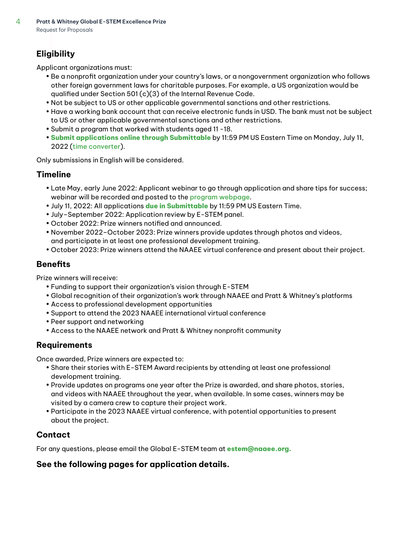# **Eligibility**

Applicant organizations must:

- Be a nonprofit organization under your country's laws, or a nongovernment organization who follows other foreign government laws for charitable purposes. For example, a US organization would be qualified under Section 501 (c)(3) of the Internal Revenue Code.
- Not be subject to US or other applicable governmental sanctions and other restrictions.
- Have a working bank account that can receive electronic funds in USD. The bank must not be subject to US or other applicable governmental sanctions and other restrictions.
- Submit a program that worked with students aged 11 -18.
- **[Submit applications online through Submittable](https://naaee.submittable.com/submit/8a76a506-f73b-4475-ac3e-35d5960a493f/pratt-whitney-e-stem-excellence-prize-2022)** by 11:59 PM US Eastern Time on Monday, July 11, 2022 ([time converter](https://www.timeanddate.com/worldclock/converter.html?iso=20220712T035900&p1=tz_et)).

Only submissions in English will be considered.

# **Timeline**

- Late May, early June 2022: Applicant webinar to go through application and share tips for success; webinar will be recorded and posted to the [program webpage](https://naaee.org/programs/e-stem/e-stem-awards).
- July 11, 2022: All applications **[due in Submittable](https://naaee.submittable.com/submit/8a76a506-f73b-4475-ac3e-35d5960a493f/pratt-whitney-e-stem-excellence-prize-2022)** by 11:59 PM US Eastern Time.
- July–September 2022: Application review by E-STEM panel.
- October 2022: Prize winners notified and announced.
- November 2022–October 2023: Prize winners provide updates through photos and videos, and participate in at least one professional development training.
- October 2023: Prize winners attend the NAAEE virtual conference and present about their project.

# **Benefits**

Prize winners will receive:

- Funding to support their organization's vision through E-STEM
- Global recognition of their organization's work through NAAEE and Pratt & Whitney's platforms
- Access to professional development opportunities
- Support to attend the 2023 NAAEE international virtual conference
- Peer support and networking
- Access to the NAAEE network and Pratt & Whitney nonprofit community

## **Requirements**

Once awarded, Prize winners are expected to:

- Share their stories with E-STEM Award recipients by attending at least one professional development training.
- Provide updates on programs one year after the Prize is awarded, and share photos, stories, and videos with NAAEE throughout the year, when available. In some cases, winners may be visited by a camera crew to capture their project work.
- Participate in the 2023 NAAEE virtual conference, with potential opportunities to present about the project.

## **Contact**

For any questions, please email the Global E-STEM team at **[estem@naaee.org.](mailto:estem%40naaee.org?subject=)**

# **See the following pages for application details.**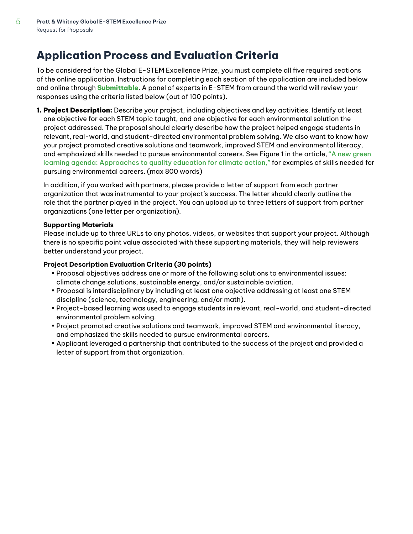# **Application Process and Evaluation Criteria**

To be considered for the Global E-STEM Excellence Prize, you must complete all five required sections of the online application. Instructions for completing each section of the application are included below and online through **[Submittable](https://naaee.submittable.com/submit/8a76a506-f73b-4475-ac3e-35d5960a493f/pratt-whitney-e-stem-excellence-prize-2022)**. A panel of experts in E-STEM from around the world will review your responses using the criteria listed below (out of 100 points).

1. Project Description: Describe your project, including objectives and key activities. Identify at least one objective for each STEM topic taught, and one objective for each environmental solution the project addressed. The proposal should clearly describe how the project helped engage students in relevant, real-world, and student-directed environmental problem solving. We also want to know how your project promoted creative solutions and teamwork, improved STEM and environmental literacy, and emphasized skills needed to pursue environmental careers. See Figure 1 in the article, ["A new green](https://www.brookings.edu/research/a-new-green-learning-agenda-approaches-to-quality-education-for-climate-action/)  [learning agenda: Approaches to quality education for climate action,"](https://www.brookings.edu/research/a-new-green-learning-agenda-approaches-to-quality-education-for-climate-action/) for examples of skills needed for pursuing environmental careers. (max 800 words)

In addition, if you worked with partners, please provide a letter of support from each partner organization that was instrumental to your project's success. The letter should clearly outline the role that the partner played in the project. You can upload up to three letters of support from partner organizations (one letter per organization).

### **Supporting Materials**

Please include up to three URLs to any photos, videos, or websites that support your project. Although there is no specific point value associated with these supporting materials, they will help reviewers better understand your project.

### **Project Description Evaluation Criteria (30 points)**

- Proposal objectives address one or more of the following solutions to environmental issues: climate change solutions, sustainable energy, and/or sustainable aviation.
- Proposal is interdisciplinary by including at least one objective addressing at least one STEM discipline (science, technology, engineering, and/or math).
- Project-based learning was used to engage students in relevant, real-world, and student-directed environmental problem solving.
- Project promoted creative solutions and teamwork, improved STEM and environmental literacy, and emphasized the skills needed to pursue environmental careers.
- Applicant leveraged a partnership that contributed to the success of the project and provided a letter of support from that organization.